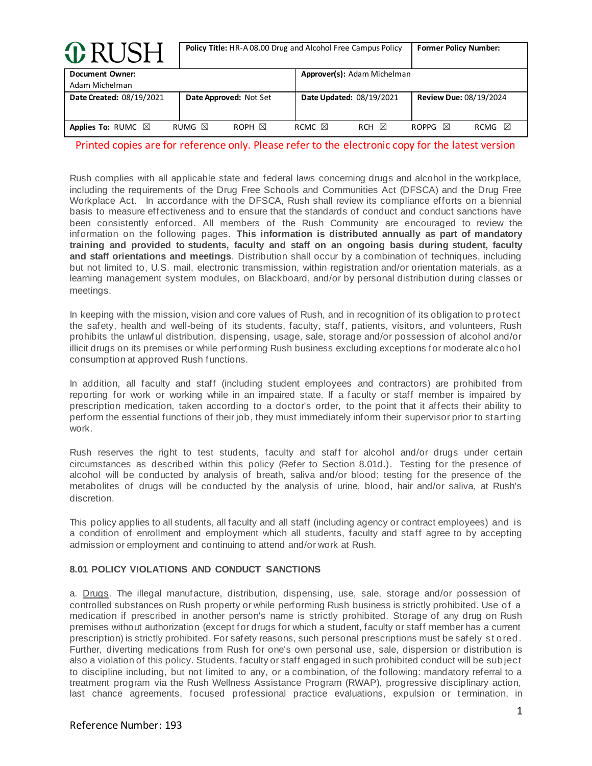| <b>O</b> RUSH                     |                        | Policy Title: HR-A08.00 Drug and Alcohol Free Campus Policy |                  |                             | <b>Former Policy Number:</b>  |           |
|-----------------------------------|------------------------|-------------------------------------------------------------|------------------|-----------------------------|-------------------------------|-----------|
| Document Owner:<br>Adam Michelman |                        |                                                             |                  | Approver(s): Adam Michelman |                               |           |
| Date Created: 08/19/2021          | Date Approved: Not Set |                                                             |                  | Date Updated: 08/19/2021    | <b>Review Due: 08/19/2024</b> |           |
| Applies To: RUMC $\boxtimes$      | RUMG $\boxtimes$       | ROPH $\boxtimes$                                            | RCMC $\boxtimes$ | ⊠<br><b>RCH</b>             | ROPPG $\boxtimes$             | ⊠<br>RCMG |

Rush complies with all applicable state and federal laws concerning drugs and alcohol in the workplace, including the requirements of the Drug Free Schools and Communities Act (DFSCA) and the Drug Free Workplace Act. In accordance with the DFSCA, Rush shall review its compliance efforts on a biennial basis to measure effectiveness and to ensure that the standards of conduct and conduct sanctions have been consistently enforced. All members of the Rush Community are encouraged to review the information on the following pages. **This information is distributed annually as part of mandatory training and provided to students, faculty and staff on an ongoing basis during student, faculty and staff orientations and meetings**. Distribution shall occur by a combination of techniques, including but not limited to, U.S. mail, electronic transmission, within registration and/or orientation materials, as a learning management system modules, on Blackboard, and/or by personal distribution during classes or meetings.

In keeping with the mission, vision and core values of Rush, and in recognition of its obligation to protect the safety, health and well-being of its students, faculty, staff, patients, visitors, and volunteers, Rush prohibits the unlawful distribution, dispensing, usage, sale, storage and/or possession of alcohol and/or illicit drugs on its premises or while performing Rush business excluding exceptions for moderate alcohol consumption at approved Rush functions.

In addition, all faculty and staff (including student employees and contractors) are prohibited from reporting for work or working while in an impaired state. If a faculty or staff member is impaired by prescription medication, taken according to a doctor's order, to the point that it affects their ability to perform the essential functions of their job, they must immediately inform their supervisor prior to starting work.

Rush reserves the right to test students, faculty and staff for alcohol and/or drugs under certain circumstances as described within this policy (Refer to Section 8.01d.). Testing for the presence of alcohol will be conducted by analysis of breath, saliva and/or blood; testing for the presence of the metabolites of drugs will be conducted by the analysis of urine, blood, hair and/or saliva, at Rush's discretion.

This policy applies to all students, all faculty and all staff (including agency or contract employees) and is a condition of enrollment and employment which all students, faculty and staff agree to by accepting admission or employment and continuing to attend and/or work at Rush.

### **8.01 POLICY VIOLATIONS AND CONDUCT SANCTIONS**

a. Drugs. The illegal manufacture, distribution, dispensing, use, sale, storage and/or possession of controlled substances on Rush property or while performing Rush business is strictly prohibited. Use of a medication if prescribed in another person's name is strictly prohibited. Storage of any drug on Rush premises without authorization (except for drugs for which a student, faculty or staff member has a current prescription) is strictly prohibited. For safety reasons, such personal prescriptions must be safely st ored. Further, diverting medications from Rush for one's own personal use, sale, dispersion or distribution is also a violation of this policy. Students, faculty or staff engaged in such prohibited conduct will be subject to discipline including, but not limited to any, or a combination, of the following: mandatory referral to a treatment program via the Rush Wellness Assistance Program (RWAP), progressive disciplinary action, last chance agreements, focused professional practice evaluations, expulsion or termination, in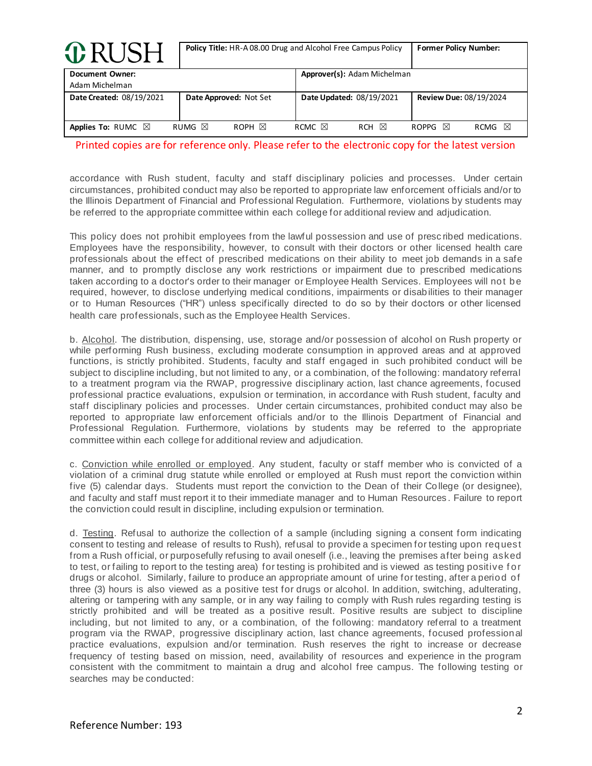| <b>O</b> RUSH                     | Policy Title: HR-A 08.00 Drug and Alcohol Free Campus Policy | <b>Former Policy Number:</b>        |                                |
|-----------------------------------|--------------------------------------------------------------|-------------------------------------|--------------------------------|
| Document Owner:<br>Adam Michelman |                                                              | Approver(s): Adam Michelman         |                                |
| Date Created: 08/19/2021          | Date Approved: Not Set                                       | Date Updated: 08/19/2021            | <b>Review Due: 08/19/2024</b>  |
| Applies To: RUMC $\boxtimes$      | RUMG $\boxtimes$<br>ROPH $\boxtimes$                         | RCMC $\boxtimes$<br>⊠<br><b>RCH</b> | ⊠<br>ROPPG $\boxtimes$<br>RCMG |

accordance with Rush student, faculty and staff disciplinary policies and processes. Under certain circumstances, prohibited conduct may also be reported to appropriate law enforcement officials and/or to the Illinois Department of Financial and Professional Regulation. Furthermore, violations by students may be referred to the appropriate committee within each college for additional review and adjudication.

This policy does not prohibit employees from the lawful possession and use of presc ribed medications. Employees have the responsibility, however, to consult with their doctors or other licensed health care professionals about the effect of prescribed medications on their ability to meet job demands in a safe manner, and to promptly disclose any work restrictions or impairment due to prescribed medications taken according to a doctor's order to their manager or Employee Health Services. Employees will not be required, however, to disclose underlying medical conditions, impairments or disabilities to their manager or to Human Resources ("HR") unless specifically directed to do so by their doctors or other licensed health care professionals, such as the Employee Health Services.

b. Alcohol. The distribution, dispensing, use, storage and/or possession of alcohol on Rush property or while performing Rush business, excluding moderate consumption in approved areas and at approved functions, is strictly prohibited. Students, faculty and staff engaged in such prohibited conduct will be subject to discipline including, but not limited to any, or a combination, of the following: mandatory referral to a treatment program via the RWAP, progressive disciplinary action, last chance agreements, focused professional practice evaluations, expulsion or termination, in accordance with Rush student, faculty and staff disciplinary policies and processes. Under certain circumstances, prohibited conduct may also be reported to appropriate law enforcement officials and/or to the Illinois Department of Financial and Professional Regulation. Furthermore, violations by students may be referred to the appropriate committee within each college for additional review and adjudication.

c. Conviction while enrolled or employed. Any student, faculty or staff member who is convicted of a violation of a criminal drug statute while enrolled or employed at Rush must report the conviction within five (5) calendar days. Students must report the conviction to the Dean of their College (or designee), and faculty and staff must report it to their immediate manager and to Human Resources . Failure to report the conviction could result in discipline, including expulsion or termination.

d. Testing. Refusal to authorize the collection of a sample (including signing a consent form indicating consent to testing and release of results to Rush), refusal to provide a specimen for testing upon request from a Rush official, or purposefully refusing to avail oneself (i.e., leaving the premises after being asked to test, or failing to report to the testing area) for testing is prohibited and is viewed as testing positive f or drugs or alcohol. Similarly, failure to produce an appropriate amount of urine for testing, after a period of three (3) hours is also viewed as a positive test for drugs or alcohol. In addition, switching, adulterating, altering or tampering with any sample, or in any way failing to comply with Rush rules regarding testing is strictly prohibited and will be treated as a positive result. Positive results are subject to discipline including, but not limited to any, or a combination, of the following: mandatory referral to a treatment program via the RWAP, progressive disciplinary action, last chance agreements, focused professional practice evaluations, expulsion and/or termination. Rush reserves the right to increase or decrease frequency of testing based on mission, need, availability of resources and experience in the program consistent with the commitment to maintain a drug and alcohol free campus. The following testing or searches may be conducted: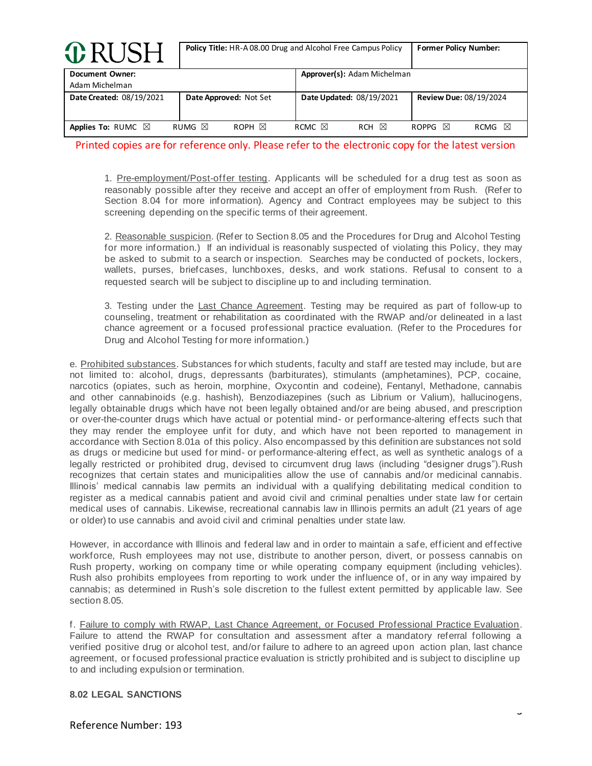| <b>ORUSH</b>                             | <b>Policy Title:</b> HR-A08.00 Drug and Alcohol Free Campus Policy | <b>Former Policy Number:</b>        |                                |
|------------------------------------------|--------------------------------------------------------------------|-------------------------------------|--------------------------------|
| <b>Document Owner:</b><br>Adam Michelman |                                                                    | Approver(s): Adam Michelman         |                                |
| Date Created: 08/19/2021                 | Date Approved: Not Set                                             | Date Updated: 08/19/2021            | Review Due: 08/19/2024         |
| Applies To: RUMC $\boxtimes$             | RUMG $\boxtimes$<br>ROPH $\boxtimes$                               | ⊠<br>RCMC $\boxtimes$<br><b>RCH</b> | ⊠<br>ROPPG $\boxtimes$<br>RCMG |

1. Pre-employment/Post-offer testing. Applicants will be scheduled for a drug test as soon as reasonably possible after they receive and accept an offer of employment from Rush. (Refer to Section 8.04 for more information). Agency and Contract employees may be subject to this screening depending on the specific terms of their agreement.

2. Reasonable suspicion. (Refer to Section 8.05 and the Procedures for Drug and Alcohol Testing for more information.) If an individual is reasonably suspected of violating this Policy, they may be asked to submit to a search or inspection. Searches may be conducted of pockets, lockers, wallets, purses, briefcases, lunchboxes, desks, and work stations. Refusal to consent to a requested search will be subject to discipline up to and including termination.

3. Testing under the Last Chance Agreement. Testing may be required as part of follow-up to counseling, treatment or rehabilitation as coordinated with the RWAP and/or delineated in a last chance agreement or a focused professional practice evaluation. (Refer to the Procedures for Drug and Alcohol Testing for more information.)

e. Prohibited substances. Substances for which students, faculty and staff are tested may include, but are not limited to: alcohol, drugs, depressants (barbiturates), stimulants (amphetamines), PCP, cocaine, narcotics (opiates, such as heroin, morphine, Oxycontin and codeine), Fentanyl, Methadone, cannabis and other cannabinoids (e.g. hashish), Benzodiazepines (such as Librium or Valium), hallucinogens, legally obtainable drugs which have not been legally obtained and/or are being abused, and prescription or over-the-counter drugs which have actual or potential mind- or performance-altering effects such that they may render the employee unfit for duty, and which have not been reported to management in accordance with Section 8.01a of this policy. Also encompassed by this definition are substances not sold as drugs or medicine but used for mind- or performance-altering effect, as well as synthetic analogs of a legally restricted or prohibited drug, devised to circumvent drug laws (including "designer drugs").Rush recognizes that certain states and municipalities allow the use of cannabis and/or medicinal cannabis. Illinois' medical cannabis law permits an individual with a qualifying debilitating medical condition to register as a medical cannabis patient and avoid civil and criminal penalties under state law for certain medical uses of cannabis. Likewise, recreational cannabis law in Illinois permits an adult (21 years of age or older) to use cannabis and avoid civil and criminal penalties under state law.

However, in accordance with Illinois and federal law and in order to maintain a safe, efficient and effective workforce, Rush employees may not use, distribute to another person, divert, or possess cannabis on Rush property, working on company time or while operating company equipment (including vehicles). Rush also prohibits employees from reporting to work under the influence of, or in any way impaired by cannabis; as determined in Rush's sole discretion to the fullest extent permitted by applicable law. See section 8.05.

f. Failure to comply with RWAP, Last Chance Agreement, or Focused Professional Practice Evaluation. Failure to attend the RWAP for consultation and assessment after a mandatory referral following a verified positive drug or alcohol test, and/or failure to adhere to an agreed upon action plan, last chance agreement, or focused professional practice evaluation is strictly prohibited and is subject to discipline up to and including expulsion or termination.

### **8.02 LEGAL SANCTIONS**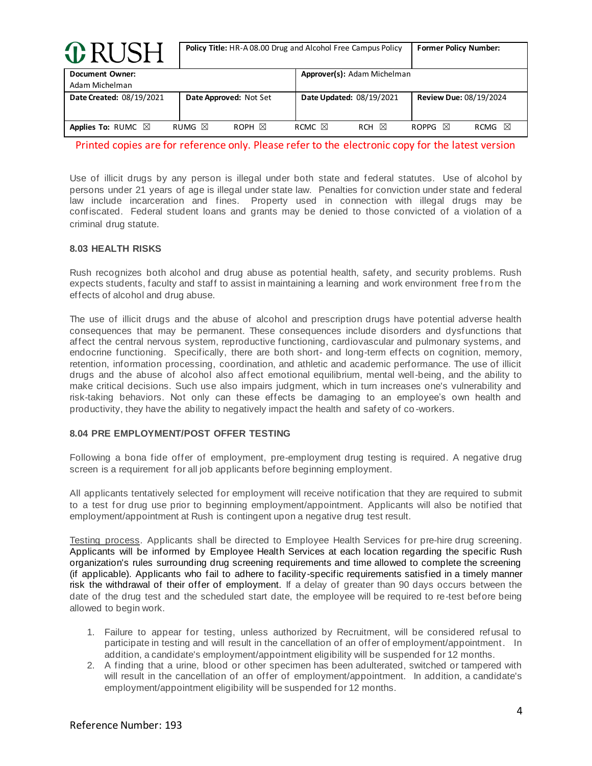| <b>O</b> RUSH                            | Policy Title: HR-A08.00 Drug and Alcohol Free Campus Policy | <b>Former Policy Number:</b>        |                                |
|------------------------------------------|-------------------------------------------------------------|-------------------------------------|--------------------------------|
| <b>Document Owner:</b><br>Adam Michelman |                                                             | Approver(s): Adam Michelman         |                                |
| Date Created: 08/19/2021                 | Date Approved: Not Set                                      | Date Updated: 08/19/2021            | <b>Review Due: 08/19/2024</b>  |
| Applies To: RUMC $\boxtimes$             | RUMG $\boxtimes$<br>ROPH $\boxtimes$                        | ⊠<br>RCMC $\boxtimes$<br><b>RCH</b> | ⊠<br>ROPPG $\boxtimes$<br>RCMG |

Use of illicit drugs by any person is illegal under both state and federal statutes. Use of alcohol by persons under 21 years of age is illegal under state law. Penalties for conviction under state and federal law include incarceration and fines. Property used in connection with illegal drugs may be confiscated. Federal student loans and grants may be denied to those convicted of a violation of a criminal drug statute.

### **8.03 HEALTH RISKS**

Rush recognizes both alcohol and drug abuse as potential health, safety, and security problems. Rush expects students, faculty and staff to assist in maintaining a learning and work environment free from the effects of alcohol and drug abuse.

The use of illicit drugs and the abuse of alcohol and prescription drugs have potential adverse health consequences that may be permanent. These consequences include disorders and dysfunctions that affect the central nervous system, reproductive functioning, cardiovascular and pulmonary systems, and endocrine functioning. Specifically, there are both short- and long-term effects on cognition, memory, retention, information processing, coordination, and athletic and academic performance. The use of illicit drugs and the abuse of alcohol also affect emotional equilibrium, mental well-being, and the ability to make critical decisions. Such use also impairs judgment, which in turn increases one's vulnerability and risk-taking behaviors. Not only can these effects be damaging to an employee's own health and productivity, they have the ability to negatively impact the health and safety of co -workers.

### **8.04 PRE EMPLOYMENT/POST OFFER TESTING**

Following a bona fide offer of employment, pre-employment drug testing is required. A negative drug screen is a requirement for all job applicants before beginning employment.

All applicants tentatively selected for employment will receive notification that they are required to submit to a test for drug use prior to beginning employment/appointment. Applicants will also be notified that employment/appointment at Rush is contingent upon a negative drug test result.

Testing process. Applicants shall be directed to Employee Health Services for pre-hire drug screening. Applicants will be informed by Employee Health Services at each location regarding the specific Rush organization's rules surrounding drug screening requirements and time allowed to complete the screening (if applicable). Applicants who fail to adhere to facility-specific requirements satisfied in a timely manner risk the withdrawal of their offer of employment. If a delay of greater than 90 days occurs between the date of the drug test and the scheduled start date, the employee will be required to re-test before being allowed to begin work.

- 1. Failure to appear for testing, unless authorized by Recruitment, will be considered refusal to participate in testing and will result in the cancellation of an offer of employment/appointment. In addition, a candidate's employment/appointment eligibility will be suspended for 12 months.
- 2. A finding that a urine, blood or other specimen has been adulterated, switched or tampered with will result in the cancellation of an offer of employment/appointment. In addition, a candidate's employment/appointment eligibility will be suspended for 12 months.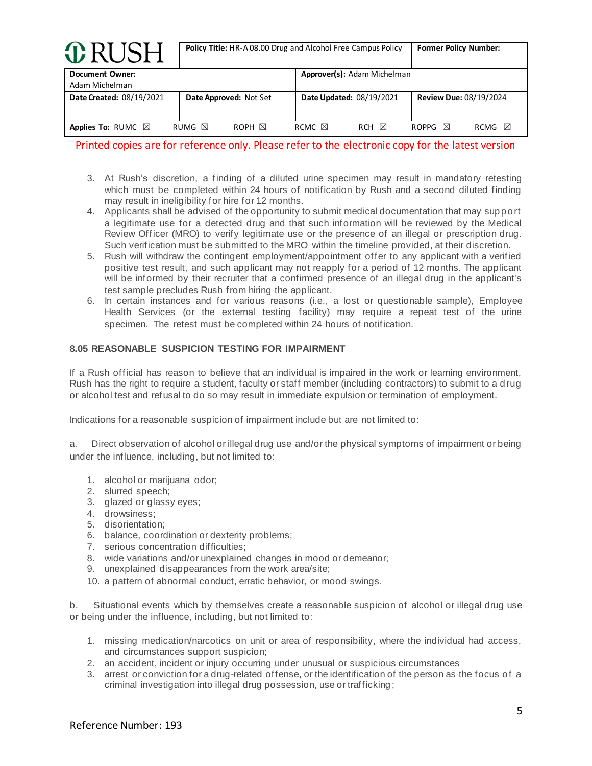| <b>O</b> RUSH                     | Policy Title: HR-A 08.00 Drug and Alcohol Free Campus Policy | <b>Former Policy Number:</b>                  |                                |
|-----------------------------------|--------------------------------------------------------------|-----------------------------------------------|--------------------------------|
| Document Owner:<br>Adam Michelman |                                                              | Approver(s): Adam Michelman                   |                                |
| Date Created: 08/19/2021          | Date Approved: Not Set                                       | Date Updated: 08/19/2021                      | <b>Review Due: 08/19/2024</b>  |
| Applies To: RUMC $\boxtimes$      | RUMG $\boxtimes$<br>ROPH $\boxtimes$                         | RCMC $\boxtimes$<br>$\boxtimes$<br><b>RCH</b> | ⊠<br>ROPPG $\boxtimes$<br>RCMG |

- 3. At Rush's discretion, a finding of a diluted urine specimen may result in mandatory retesting which must be completed within 24 hours of notification by Rush and a second diluted finding may result in ineligibility for hire for 12 months.
- 4. Applicants shall be advised of the opportunity to submit medical documentation that may support a legitimate use for a detected drug and that such information will be reviewed by the Medical Review Officer (MRO) to verify legitimate use or the presence of an illegal or prescription drug. Such verification must be submitted to the MRO within the timeline provided, at their discretion.
- 5. Rush will withdraw the contingent employment/appointment offer to any applicant with a verified positive test result, and such applicant may not reapply for a period of 12 months. The applicant will be informed by their recruiter that a confirmed presence of an illegal drug in the applicant's test sample precludes Rush from hiring the applicant.
- 6. In certain instances and for various reasons (i.e., a lost or questionable sample), Employee Health Services (or the external testing facility) may require a repeat test of the urine specimen. The retest must be completed within 24 hours of notification.

# **8.05 REASONABLE SUSPICION TESTING FOR IMPAIRMENT**

If a Rush official has reason to believe that an individual is impaired in the work or learning environment, Rush has the right to require a student, faculty or staff member (including contractors) to submit to a drug or alcohol test and refusal to do so may result in immediate expulsion or termination of employment.

Indications for a reasonable suspicion of impairment include but are not limited to:

a. Direct observation of alcohol or illegal drug use and/or the physical symptoms of impairment or being under the influence, including, but not limited to:

- 1. alcohol or marijuana odor;
- 2. slurred speech;
- 3. glazed or glassy eyes;
- 4. drowsiness;
- 5. disorientation;
- 6. balance, coordination or dexterity problems;
- 7. serious concentration difficulties;
- 8. wide variations and/or unexplained changes in mood or demeanor;
- 9. unexplained disappearances from the work area/site;
- 10. a pattern of abnormal conduct, erratic behavior, or mood swings.

b. Situational events which by themselves create a reasonable suspicion of alcohol or illegal drug use or being under the influence, including, but not limited to:

- 1. missing medication/narcotics on unit or area of responsibility, where the individual had access, and circumstances support suspicion;
- 2. an accident, incident or injury occurring under unusual or suspicious circumstances
- 3. arrest or conviction for a drug-related offense, or the identification of the person as the focus of a criminal investigation into illegal drug possession, use or trafficking ;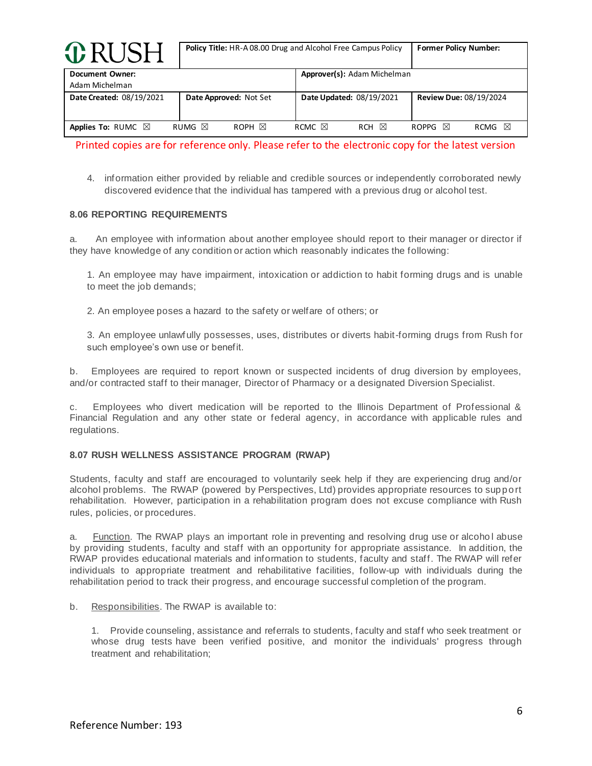| <b><i>G</i></b> RUSH                     | <b>Policy Title:</b> HR-A08.00 Drug and Alcohol Free Campus Policy | <b>Former Policy Number:</b>        |                                |
|------------------------------------------|--------------------------------------------------------------------|-------------------------------------|--------------------------------|
| <b>Document Owner:</b><br>Adam Michelman |                                                                    | Approver(s): Adam Michelman         |                                |
| Date Created: 08/19/2021                 | Date Approved: Not Set                                             | Date Updated: 08/19/2021            | <b>Review Due: 08/19/2024</b>  |
| Applies To: RUMC $\boxtimes$             | RUMG $\boxtimes$<br>ROPH $\boxtimes$                               | RCMC $\boxtimes$<br>⊠<br><b>RCH</b> | 冈<br>ROPPG $\boxtimes$<br>RCMG |

4. information either provided by reliable and credible sources or independently corroborated newly discovered evidence that the individual has tampered with a previous drug or alcohol test.

### **8.06 REPORTING REQUIREMENTS**

a. An employee with information about another employee should report to their manager or director if they have knowledge of any condition or action which reasonably indicates the following:

1. An employee may have impairment, intoxication or addiction to habit forming drugs and is unable to meet the job demands;

2. An employee poses a hazard to the safety or welfare of others; or

3. An employee unlawfully possesses, uses, distributes or diverts habit-forming drugs from Rush for such employee's own use or benefit.

b. Employees are required to report known or suspected incidents of drug diversion by employees, and/or contracted staff to their manager, Director of Pharmacy or a designated Diversion Specialist.

c. Employees who divert medication will be reported to the Illinois Department of Professional & Financial Regulation and any other state or federal agency, in accordance with applicable rules and regulations.

### **8.07 RUSH WELLNESS ASSISTANCE PROGRAM (RWAP)**

Students, faculty and staff are encouraged to voluntarily seek help if they are experiencing drug and/or alcohol problems. The RWAP (powered by Perspectives, Ltd) provides appropriate resources to support rehabilitation. However, participation in a rehabilitation program does not excuse compliance with Rush rules, policies, or procedures.

a. Function. The RWAP plays an important role in preventing and resolving drug use or alcohol abuse by providing students, faculty and staff with an opportunity for appropriate assistance. In addition, the RWAP provides educational materials and information to students, faculty and staff. The RWAP will refer individuals to appropriate treatment and rehabilitative facilities, follow-up with individuals during the rehabilitation period to track their progress, and encourage successful completion of the program.

b. Responsibilities. The RWAP is available to:

1. Provide counseling, assistance and referrals to students, faculty and staff who seek treatment or whose drug tests have been verified positive, and monitor the individuals' progress through treatment and rehabilitation;